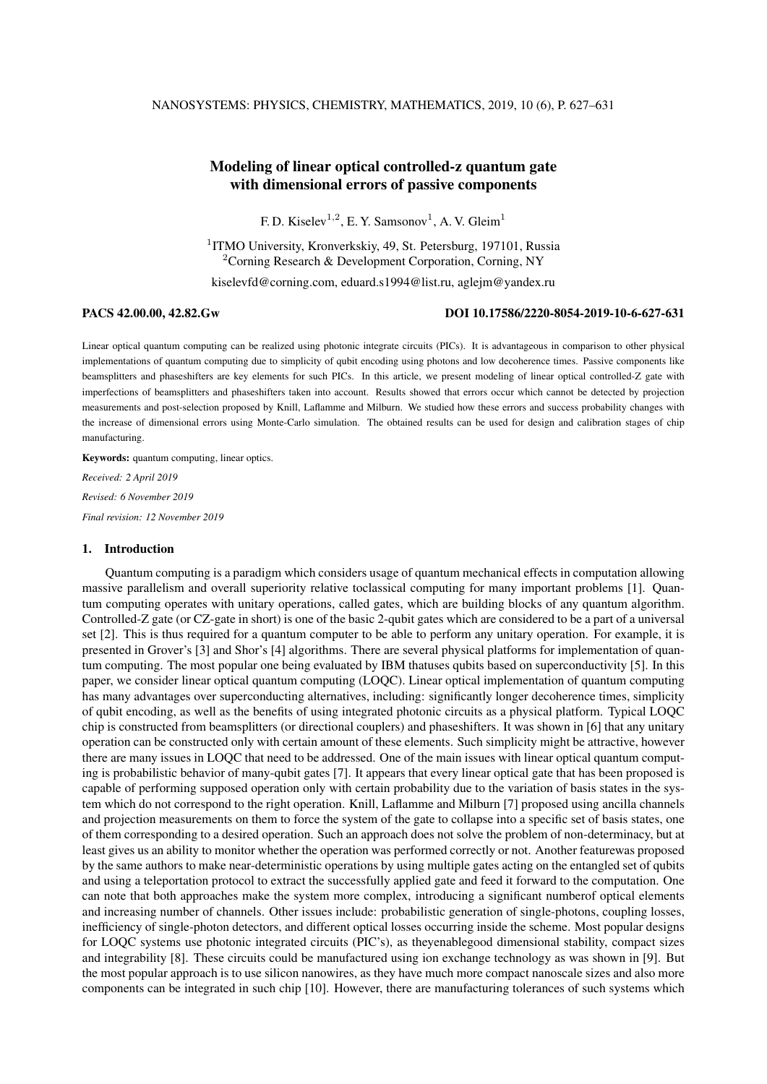# Modeling of linear optical controlled-z quantum gate with dimensional errors of passive components

F. D. Kiselev<sup>1,2</sup>, E. Y. Samsonov<sup>1</sup>, A. V. Gleim<sup>1</sup>

<sup>1</sup>ITMO University, Kronverkskiy, 49, St. Petersburg, 197101, Russia <sup>2</sup>Corning Research & Development Corporation, Corning, NY

kiselevfd@corning.com, eduard.s1994@list.ru, aglejm@yandex.ru

#### PACS 42.00.00, 42.82.Gw DOI 10.17586/2220-8054-2019-10-6-627-631

Linear optical quantum computing can be realized using photonic integrate circuits (PICs). It is advantageous in comparison to other physical implementations of quantum computing due to simplicity of qubit encoding using photons and low decoherence times. Passive components like beamsplitters and phaseshifters are key elements for such PICs. In this article, we present modeling of linear optical controlled-Z gate with imperfections of beamsplitters and phaseshifters taken into account. Results showed that errors occur which cannot be detected by projection measurements and post-selection proposed by Knill, Laflamme and Milburn. We studied how these errors and success probability changes with the increase of dimensional errors using Monte-Carlo simulation. The obtained results can be used for design and calibration stages of chip manufacturing.

Keywords: quantum computing, linear optics. *Received: 2 April 2019 Revised: 6 November 2019 Final revision: 12 November 2019*

# 1. Introduction

Quantum computing is a paradigm which considers usage of quantum mechanical effects in computation allowing massive parallelism and overall superiority relative toclassical computing for many important problems [1]. Quantum computing operates with unitary operations, called gates, which are building blocks of any quantum algorithm. Controlled-Z gate (or CZ-gate in short) is one of the basic 2-qubit gates which are considered to be a part of a universal set [2]. This is thus required for a quantum computer to be able to perform any unitary operation. For example, it is presented in Grover's [3] and Shor's [4] algorithms. There are several physical platforms for implementation of quantum computing. The most popular one being evaluated by IBM thatuses qubits based on superconductivity [5]. In this paper, we consider linear optical quantum computing (LOQC). Linear optical implementation of quantum computing has many advantages over superconducting alternatives, including: significantly longer decoherence times, simplicity of qubit encoding, as well as the benefits of using integrated photonic circuits as a physical platform. Typical LOQC chip is constructed from beamsplitters (or directional couplers) and phaseshifters. It was shown in [6] that any unitary operation can be constructed only with certain amount of these elements. Such simplicity might be attractive, however there are many issues in LOQC that need to be addressed. One of the main issues with linear optical quantum computing is probabilistic behavior of many-qubit gates [7]. It appears that every linear optical gate that has been proposed is capable of performing supposed operation only with certain probability due to the variation of basis states in the system which do not correspond to the right operation. Knill, Laflamme and Milburn [7] proposed using ancilla channels and projection measurements on them to force the system of the gate to collapse into a specific set of basis states, one of them corresponding to a desired operation. Such an approach does not solve the problem of non-determinacy, but at least gives us an ability to monitor whether the operation was performed correctly or not. Another featurewas proposed by the same authors to make near-deterministic operations by using multiple gates acting on the entangled set of qubits and using a teleportation protocol to extract the successfully applied gate and feed it forward to the computation. One can note that both approaches make the system more complex, introducing a significant numberof optical elements and increasing number of channels. Other issues include: probabilistic generation of single-photons, coupling losses, inefficiency of single-photon detectors, and different optical losses occurring inside the scheme. Most popular designs for LOQC systems use photonic integrated circuits (PIC's), as theyenablegood dimensional stability, compact sizes and integrability [8]. These circuits could be manufactured using ion exchange technology as was shown in [9]. But the most popular approach is to use silicon nanowires, as they have much more compact nanoscale sizes and also more components can be integrated in such chip [10]. However, there are manufacturing tolerances of such systems which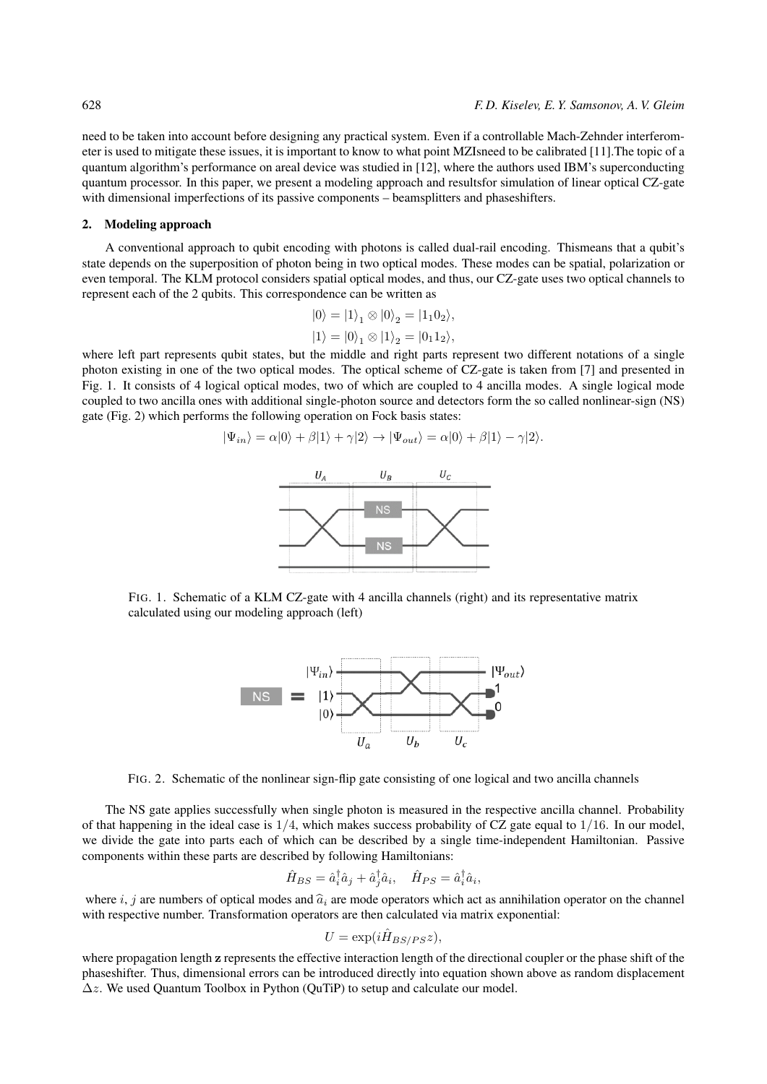need to be taken into account before designing any practical system. Even if a controllable Mach-Zehnder interferometer is used to mitigate these issues, it is important to know to what point MZIsneed to be calibrated [11].The topic of a quantum algorithm's performance on areal device was studied in [12], where the authors used IBM's superconducting quantum processor. In this paper, we present a modeling approach and resultsfor simulation of linear optical CZ-gate with dimensional imperfections of its passive components – beamsplitters and phaseshifters.

### 2. Modeling approach

A conventional approach to qubit encoding with photons is called dual-rail encoding. Thismeans that a qubit's state depends on the superposition of photon being in two optical modes. These modes can be spatial, polarization or even temporal. The KLM protocol considers spatial optical modes, and thus, our CZ-gate uses two optical channels to represent each of the 2 qubits. This correspondence can be written as

$$
|0\rangle = |1\rangle_1 \otimes |0\rangle_2 = |1_1 0_2\rangle,
$$
  

$$
|1\rangle = |0\rangle_1 \otimes |1\rangle_2 = |0_1 1_2\rangle,
$$

where left part represents qubit states, but the middle and right parts represent two different notations of a single photon existing in one of the two optical modes. The optical scheme of CZ-gate is taken from [7] and presented in Fig. 1. It consists of 4 logical optical modes, two of which are coupled to 4 ancilla modes. A single logical mode coupled to two ancilla ones with additional single-photon source and detectors form the so called nonlinear-sign (NS) gate (Fig. 2) which performs the following operation on Fock basis states:

$$
|\Psi_{in}\rangle = \alpha|0\rangle + \beta|1\rangle + \gamma|2\rangle \rightarrow |\Psi_{out}\rangle = \alpha|0\rangle + \beta|1\rangle - \gamma|2\rangle.
$$



FIG. 1. Schematic of a KLM CZ-gate with 4 ancilla channels (right) and its representative matrix calculated using our modeling approach (left)



FIG. 2. Schematic of the nonlinear sign-flip gate consisting of one logical and two ancilla channels

The NS gate applies successfully when single photon is measured in the respective ancilla channel. Probability of that happening in the ideal case is  $1/4$ , which makes success probability of CZ gate equal to  $1/16$ . In our model, we divide the gate into parts each of which can be described by a single time-independent Hamiltonian. Passive components within these parts are described by following Hamiltonians:

$$
\hat{H}_{BS} = \hat{a}_i^{\dagger} \hat{a}_j + \hat{a}_j^{\dagger} \hat{a}_i, \quad \hat{H}_{PS} = \hat{a}_i^{\dagger} \hat{a}_i,
$$

where i, j are numbers of optical modes and  $\hat{a}_i$  are mode operators which act as annihilation operator on the channel with respective number. Transformation operators are then calculated via matrix exponential:

$$
U = \exp(i\hat{H}_{BS/PS}z),
$$

where propagation length z represents the effective interaction length of the directional coupler or the phase shift of the phaseshifter. Thus, dimensional errors can be introduced directly into equation shown above as random displacement ∆z. We used Quantum Toolbox in Python (QuTiP) to setup and calculate our model.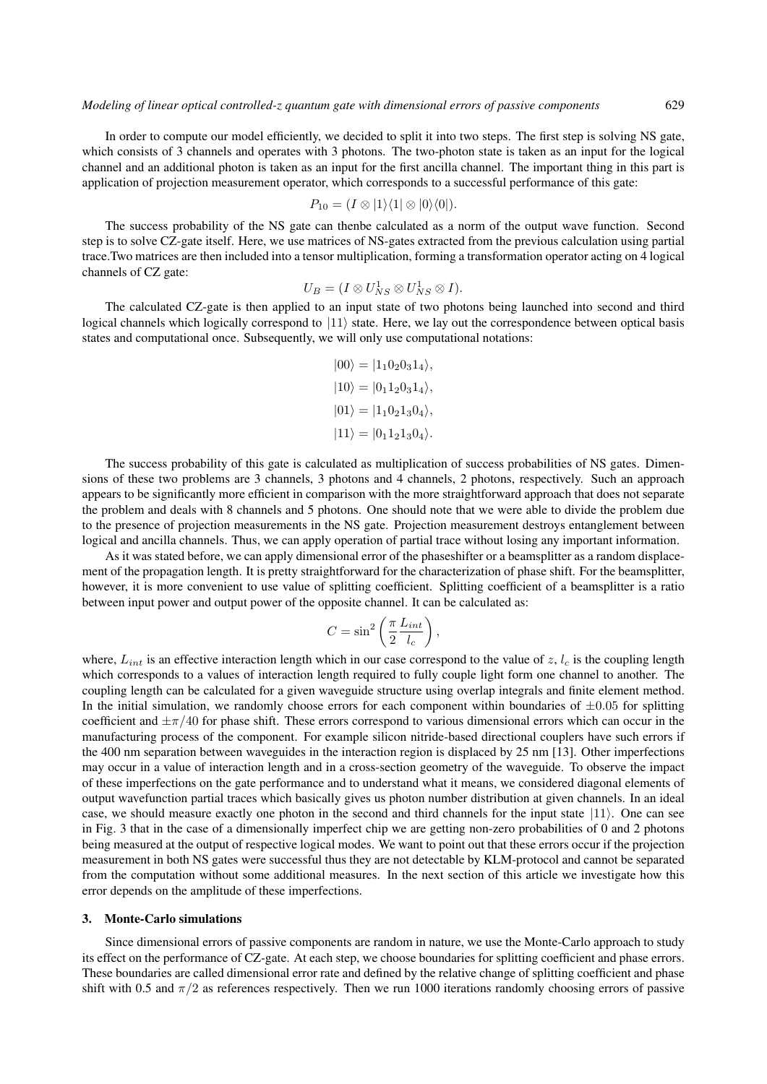In order to compute our model efficiently, we decided to split it into two steps. The first step is solving NS gate, which consists of 3 channels and operates with 3 photons. The two-photon state is taken as an input for the logical channel and an additional photon is taken as an input for the first ancilla channel. The important thing in this part is application of projection measurement operator, which corresponds to a successful performance of this gate:

$$
P_{10} = (I \otimes |1\rangle\langle 1| \otimes |0\rangle\langle 0|).
$$

The success probability of the NS gate can thenbe calculated as a norm of the output wave function. Second step is to solve CZ-gate itself. Here, we use matrices of NS-gates extracted from the previous calculation using partial trace.Two matrices are then included into a tensor multiplication, forming a transformation operator acting on 4 logical channels of CZ gate:

$$
U_B = (I \otimes U_{NS}^1 \otimes U_{NS}^1 \otimes I).
$$

The calculated CZ-gate is then applied to an input state of two photons being launched into second and third logical channels which logically correspond to  $|11\rangle$  state. Here, we lay out the correspondence between optical basis states and computational once. Subsequently, we will only use computational notations:

$$
|00\rangle = |1_1 0_2 0_3 1_4\rangle,
$$
  
\n
$$
|10\rangle = |0_1 1_2 0_3 1_4\rangle,
$$
  
\n
$$
|01\rangle = |1_1 0_2 1_3 0_4\rangle,
$$
  
\n
$$
|11\rangle = |0_1 1_2 1_3 0_4\rangle.
$$

The success probability of this gate is calculated as multiplication of success probabilities of NS gates. Dimensions of these two problems are 3 channels, 3 photons and 4 channels, 2 photons, respectively. Such an approach appears to be significantly more efficient in comparison with the more straightforward approach that does not separate the problem and deals with 8 channels and 5 photons. One should note that we were able to divide the problem due to the presence of projection measurements in the NS gate. Projection measurement destroys entanglement between logical and ancilla channels. Thus, we can apply operation of partial trace without losing any important information.

As it was stated before, we can apply dimensional error of the phaseshifter or a beamsplitter as a random displacement of the propagation length. It is pretty straightforward for the characterization of phase shift. For the beamsplitter, however, it is more convenient to use value of splitting coefficient. Splitting coefficient of a beamsplitter is a ratio between input power and output power of the opposite channel. It can be calculated as:

$$
C = \sin^2\left(\frac{\pi}{2} \frac{L_{int}}{l_c}\right),\,
$$

where,  $L_{int}$  is an effective interaction length which in our case correspond to the value of z,  $l_c$  is the coupling length which corresponds to a values of interaction length required to fully couple light form one channel to another. The coupling length can be calculated for a given waveguide structure using overlap integrals and finite element method. In the initial simulation, we randomly choose errors for each component within boundaries of  $\pm 0.05$  for splitting coefficient and  $\pm \pi/40$  for phase shift. These errors correspond to various dimensional errors which can occur in the manufacturing process of the component. For example silicon nitride-based directional couplers have such errors if the 400 nm separation between waveguides in the interaction region is displaced by 25 nm [13]. Other imperfections may occur in a value of interaction length and in a cross-section geometry of the waveguide. To observe the impact of these imperfections on the gate performance and to understand what it means, we considered diagonal elements of output wavefunction partial traces which basically gives us photon number distribution at given channels. In an ideal case, we should measure exactly one photon in the second and third channels for the input state  $|11\rangle$ . One can see in Fig. 3 that in the case of a dimensionally imperfect chip we are getting non-zero probabilities of 0 and 2 photons being measured at the output of respective logical modes. We want to point out that these errors occur if the projection measurement in both NS gates were successful thus they are not detectable by KLM-protocol and cannot be separated from the computation without some additional measures. In the next section of this article we investigate how this error depends on the amplitude of these imperfections.

#### 3. Monte-Carlo simulations

Since dimensional errors of passive components are random in nature, we use the Monte-Carlo approach to study its effect on the performance of CZ-gate. At each step, we choose boundaries for splitting coefficient and phase errors. These boundaries are called dimensional error rate and defined by the relative change of splitting coefficient and phase shift with 0.5 and  $\pi/2$  as references respectively. Then we run 1000 iterations randomly choosing errors of passive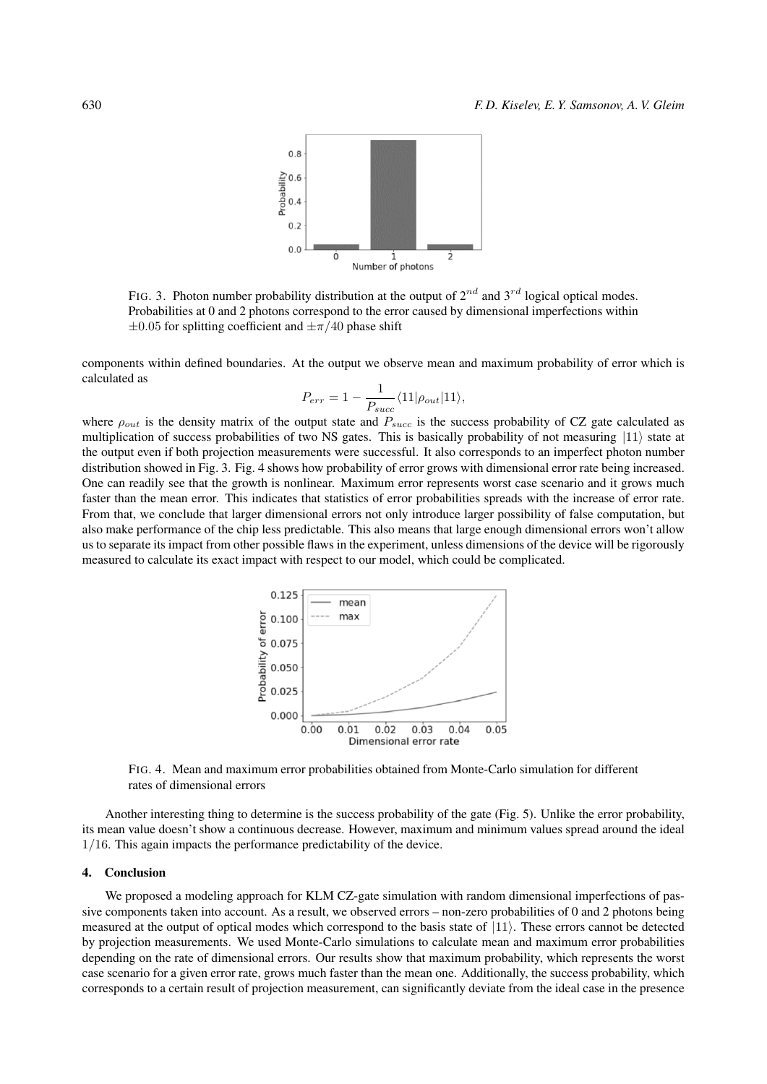

FIG. 3. Photon number probability distribution at the output of  $2^{nd}$  and  $3^{rd}$  logical optical modes. Probabilities at 0 and 2 photons correspond to the error caused by dimensional imperfections within  $\pm 0.05$  for splitting coefficient and  $\pm \pi/40$  phase shift

components within defined boundaries. At the output we observe mean and maximum probability of error which is calculated as

$$
P_{err}=1-\frac{1}{P_{succ}}\langle11|\rho_{out}|11\rangle,
$$

where  $\rho_{out}$  is the density matrix of the output state and  $P_{succ}$  is the success probability of CZ gate calculated as multiplication of success probabilities of two NS gates. This is basically probability of not measuring  $|11\rangle$  state at the output even if both projection measurements were successful. It also corresponds to an imperfect photon number distribution showed in Fig. 3. Fig. 4 shows how probability of error grows with dimensional error rate being increased. One can readily see that the growth is nonlinear. Maximum error represents worst case scenario and it grows much faster than the mean error. This indicates that statistics of error probabilities spreads with the increase of error rate. From that, we conclude that larger dimensional errors not only introduce larger possibility of false computation, but also make performance of the chip less predictable. This also means that large enough dimensional errors won't allow us to separate its impact from other possible flaws in the experiment, unless dimensions of the device will be rigorously measured to calculate its exact impact with respect to our model, which could be complicated.



FIG. 4. Mean and maximum error probabilities obtained from Monte-Carlo simulation for different rates of dimensional errors

Another interesting thing to determine is the success probability of the gate (Fig. 5). Unlike the error probability, its mean value doesn't show a continuous decrease. However, maximum and minimum values spread around the ideal 1/16. This again impacts the performance predictability of the device.

#### 4. Conclusion

We proposed a modeling approach for KLM CZ-gate simulation with random dimensional imperfections of passive components taken into account. As a result, we observed errors – non-zero probabilities of 0 and 2 photons being measured at the output of optical modes which correspond to the basis state of  $|11\rangle$ . These errors cannot be detected by projection measurements. We used Monte-Carlo simulations to calculate mean and maximum error probabilities depending on the rate of dimensional errors. Our results show that maximum probability, which represents the worst case scenario for a given error rate, grows much faster than the mean one. Additionally, the success probability, which corresponds to a certain result of projection measurement, can significantly deviate from the ideal case in the presence